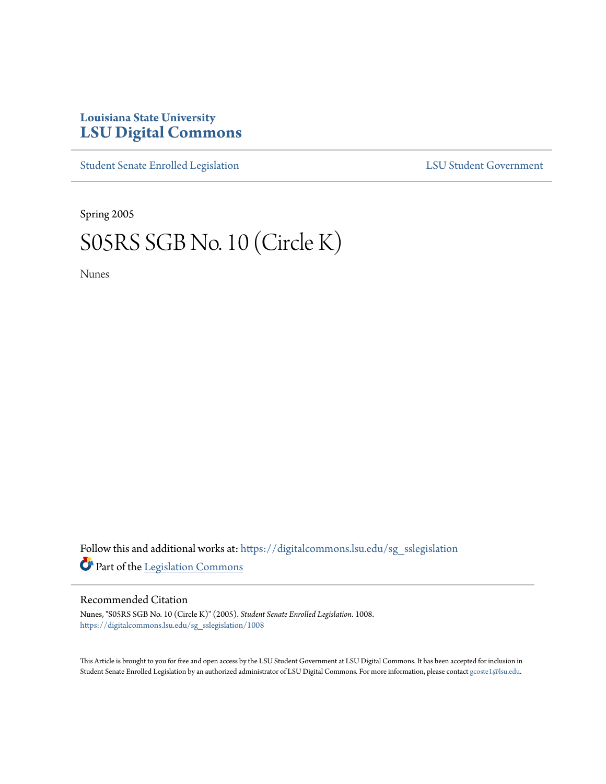## **Louisiana State University [LSU Digital Commons](https://digitalcommons.lsu.edu?utm_source=digitalcommons.lsu.edu%2Fsg_sslegislation%2F1008&utm_medium=PDF&utm_campaign=PDFCoverPages)**

[Student Senate Enrolled Legislation](https://digitalcommons.lsu.edu/sg_sslegislation?utm_source=digitalcommons.lsu.edu%2Fsg_sslegislation%2F1008&utm_medium=PDF&utm_campaign=PDFCoverPages) [LSU Student Government](https://digitalcommons.lsu.edu/sg?utm_source=digitalcommons.lsu.edu%2Fsg_sslegislation%2F1008&utm_medium=PDF&utm_campaign=PDFCoverPages)

Spring 2005

# S05RS SGB No. 10 (Circle K)

Nunes

Follow this and additional works at: [https://digitalcommons.lsu.edu/sg\\_sslegislation](https://digitalcommons.lsu.edu/sg_sslegislation?utm_source=digitalcommons.lsu.edu%2Fsg_sslegislation%2F1008&utm_medium=PDF&utm_campaign=PDFCoverPages) Part of the [Legislation Commons](http://network.bepress.com/hgg/discipline/859?utm_source=digitalcommons.lsu.edu%2Fsg_sslegislation%2F1008&utm_medium=PDF&utm_campaign=PDFCoverPages)

#### Recommended Citation

Nunes, "S05RS SGB No. 10 (Circle K)" (2005). *Student Senate Enrolled Legislation*. 1008. [https://digitalcommons.lsu.edu/sg\\_sslegislation/1008](https://digitalcommons.lsu.edu/sg_sslegislation/1008?utm_source=digitalcommons.lsu.edu%2Fsg_sslegislation%2F1008&utm_medium=PDF&utm_campaign=PDFCoverPages)

This Article is brought to you for free and open access by the LSU Student Government at LSU Digital Commons. It has been accepted for inclusion in Student Senate Enrolled Legislation by an authorized administrator of LSU Digital Commons. For more information, please contact [gcoste1@lsu.edu.](mailto:gcoste1@lsu.edu)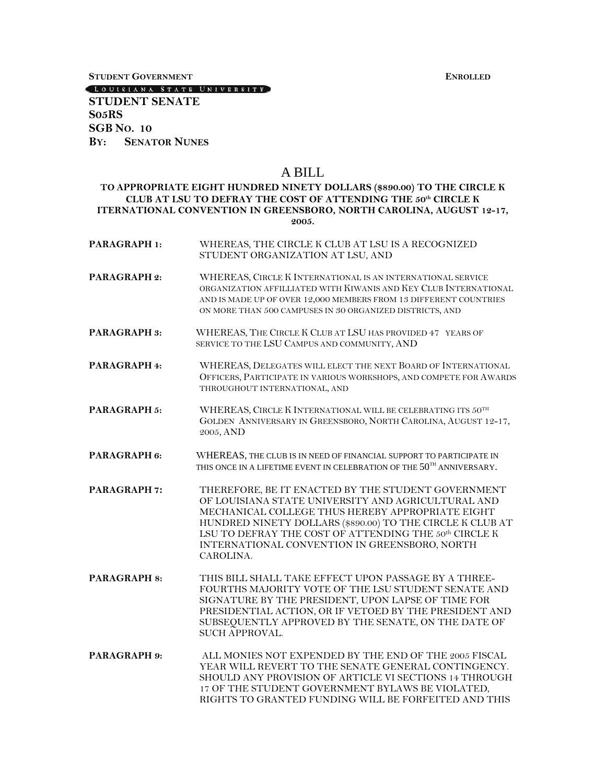**STUDENT GOVERNMENT** ENROLLED

[LOUISIANA STATE UNIVERSITY]

**STUDENT SENATE S05RS SGB NO. 10 BY: SENATOR NUNES**

### A BILL

#### **TO APPROPRIATE EIGHT HUNDRED NINETY DOLLARS (\$890.00) TO THE CIRCLE K CLUB AT LSU TO DEFRAY THE COST OF ATTENDING THE 50th CIRCLE K ITERNATIONAL CONVENTION IN GREENSBORO, NORTH CAROLINA, AUGUST 12-17, 2005.**

- **PARAGRAPH 1:** WHEREAS, THE CIRCLE K CLUB AT LSU IS A RECOGNIZED STUDENT ORGANIZATION AT LSU, AND
- **PARAGRAPH 2:** WHEREAS, CIRCLE K INTERNATIONAL IS AN INTERNATIONAL SERVICE ORGANIZATION AFFILLIATED WITH KIWANIS AND KEY CLUB INTERNATIONAL AND IS MADE UP OF OVER 12,000 MEMBERS FROM 13 DIFFERENT COUNTRIES ON MORE THAN 500 CAMPUSES IN 30 ORGANIZED DISTRICTS, AND
- **PARAGRAPH 3:** WHEREAS, THE CIRCLE K CLUB AT LSU HAS PROVIDED 47 YEARS OF SERVICE TO THE LSU CAMPUS AND COMMUNITY, AND
- **PARAGRAPH 4:** WHEREAS, DELEGATES WILL ELECT THE NEXT BOARD OF INTERNATIONAL OFFICERS, PARTICIPATE IN VARIOUS WORKSHOPS, AND COMPETE FOR AWARDS THROUGHOUT INTERNATIONAL, AND
- **PARAGRAPH 5:** WHEREAS, CIRCLE K INTERNATIONAL WILL BE CELEBRATING ITS 50TH GOLDEN ANNIVERSARY IN GREENSBORO, NORTH CAROLINA, AUGUST 12-17, 2005, AND
- **PARAGRAPH 6:** WHEREAS, THE CLUB IS IN NEED OF FINANCIAL SUPPORT TO PARTICIPATE IN THIS ONCE IN A LIFETIME EVENT IN CELEBRATION OF THE  $50^{th}$  anniversary.

**PARAGRAPH 7:** THEREFORE, BE IT ENACTED BY THE STUDENT GOVERNMENT OF LOUISIANA STATE UNIVERSITY AND AGRICULTURAL AND MECHANICAL COLLEGE THUS HEREBY APPROPRIATE EIGHT HUNDRED NINETY DOLLARS (\$890.00) TO THE CIRCLE K CLUB AT LSU TO DEFRAY THE COST OF ATTENDING THE  $50^{\rm th}$  CIRCLE K INTERNATIONAL CONVENTION IN GREENSBORO, NORTH CAROLINA.

- **PARAGRAPH 8:** THIS BILL SHALL TAKE EFFECT UPON PASSAGE BY A THREE-FOURTHS MAJORITY VOTE OF THE LSU STUDENT SENATE AND SIGNATURE BY THE PRESIDENT, UPON LAPSE OF TIME FOR PRESIDENTIAL ACTION, OR IF VETOED BY THE PRESIDENT AND SUBSEQUENTLY APPROVED BY THE SENATE, ON THE DATE OF SUCH APPROVAL.
- **PARAGRAPH 9:** ALL MONIES NOT EXPENDED BY THE END OF THE 2005 FISCAL YEAR WILL REVERT TO THE SENATE GENERAL CONTINGENCY. SHOULD ANY PROVISION OF ARTICLE VI SECTIONS 14 THROUGH 17 OF THE STUDENT GOVERNMENT BYLAWS BE VIOLATED, RIGHTS TO GRANTED FUNDING WILL BE FORFEITED AND THIS